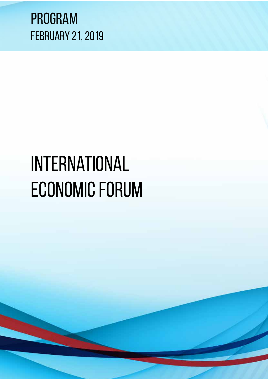

# International ECONOMIC FORUM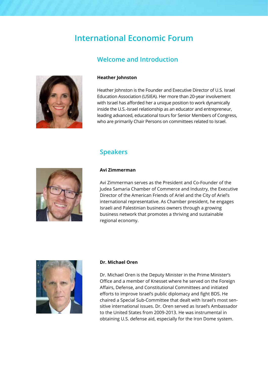# **International Economic Forum**

## **Welcome and Introduction**



#### **Heather Johnston**

Heather Johnston is the Founder and Executive Director of U.S. Israel Education Association (USIEA). Her more than 20-year involvement with Israel has afforded her a unique position to work dynamically inside the U.S.-Israel relationship as an educator and entrepreneur, leading advanced, educational tours for Senior Members of Congress, who are primarily Chair Persons on committees related to Israel.

### **Speakers**



#### **Avi Zimmerman**

Avi Zimmerman serves as the President and Co-Founder of the Judea Samaria Chamber of Commerce and Industry, the Executive Director of the American Friends of Ariel and the City of Ariel's international representative. As Chamber president, he engages Israeli and Palestinian business owners through a growing business network that promotes a thriving and sustainable regional economy.



#### **Dr. Michael Oren**

Dr. Michael Oren is the Deputy Minister in the Prime Minister's Office and a member of Knesset where he served on the Foreign Affairs, Defense, and Constitutional Committees and initiated efforts to improve Israel's public diplomacy and fight BDS. He chaired a Special Sub-Committee that dealt with Israel's most sensitive international issues. Dr. Oren served as Israel's Ambassador to the United States from 2009-2013. He was instrumental in obtaining U.S. defense aid, especially for the Iron Dome system.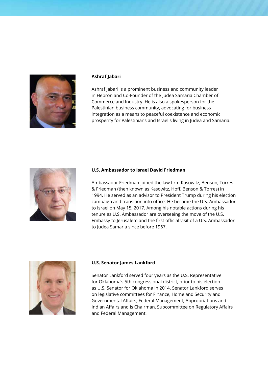

#### **Ashraf Jabari**

Ashraf Jabari is a prominent business and community leader in Hebron and Co-Founder of the Judea Samaria Chamber of Commerce and Industry. He is also a spokesperson for the Palestinian business community, advocating for business integration as a means to peaceful coexistence and economic prosperity for Palestinians and Israelis living in Judea and Samaria.



#### **U.S. Ambassador to Israel David Friedman**

Ambassador Friedman joined the law firm Kasowitz, Benson, Torres & Friedman (then known as Kasowitz, Hoff, Benson & Torres) in 1994. He served as an advisor to President Trump during his election campaign and transition into office. He became the U.S. Ambassador to Israel on May 15, 2017. Among his notable actions during his tenure as U.S. Ambassador are overseeing the move of the U.S. Embassy to Jerusalem and the first official visit of a U.S. Ambassador to Judea Samaria since before 1967.



#### **U.S. Senator James Lankford**

Senator Lankford served four years as the U.S. Representative for Oklahoma's 5th congressional district, prior to his election as U.S. Senator for Oklahoma in 2014. Senator Lankford serves on legislative committees for Finance, Homeland Security and Governmental Affairs, Federal Management, Appropriations and Indian Affairs and is Chairman, Subcommittee on Regulatory Affairs and Federal Management.